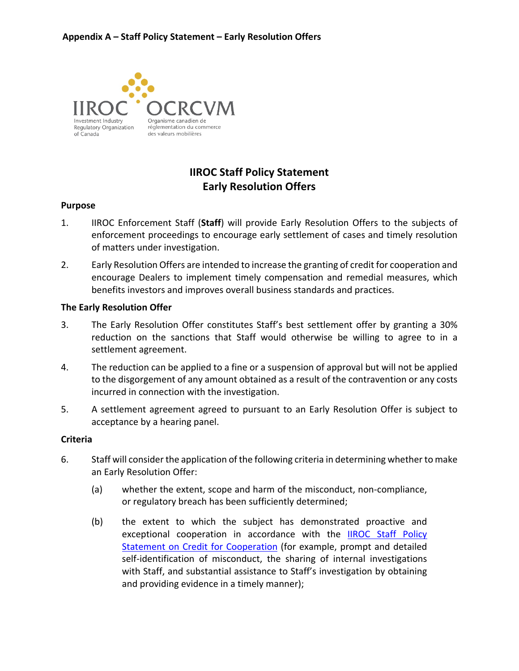

# **IIROC Staff Policy Statement Early Resolution Offers**

## **Purpose**

- 1. IIROC Enforcement Staff (**Staff**) will provide Early Resolution Offers to the subjects of enforcement proceedings to encourage early settlement of cases and timely resolution of matters under investigation.
- 2. Early Resolution Offers are intended to increase the granting of credit for cooperation and encourage Dealers to implement timely compensation and remedial measures, which benefits investors and improves overall business standards and practices.

### **The Early Resolution Offer**

- 3. The Early Resolution Offer constitutes Staff's best settlement offer by granting a 30% reduction on the sanctions that Staff would otherwise be willing to agree to in a settlement agreement.
- 4. The reduction can be applied to a fine or a suspension of approval but will not be applied to the disgorgement of any amount obtained as a result of the contravention or any costs incurred in connection with the investigation.
- 5. A settlement agreement agreed to pursuant to an Early Resolution Offer is subject to acceptance by a hearing panel.

### **Criteria**

- 6. Staff will consider the application of the following criteria in determining whether to make an Early Resolution Offer:
	- or regulatory breach has been sufficiently determined; (a) whether the extent, scope and harm of the misconduct, non-compliance,
	- self-identification of misconduct, the sharing of internal investigations and providing evidence in a timely manner); (b) the extent to which the subject has demonstrated proactive and exceptional cooperation in accordance with the **IIROC** Staff Policy [Statement on Credit for Cooperation](https://iiroc.ca/media/5996) (for example, prompt and detailed with Staff, and substantial assistance to Staff's investigation by obtaining